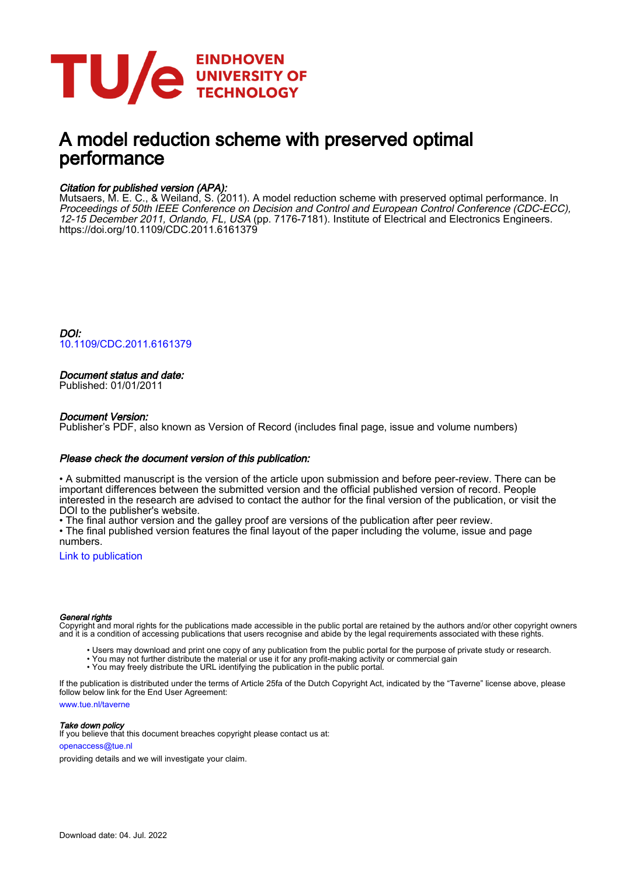

# A model reduction scheme with preserved optimal performance

## Citation for published version (APA):

Mutsaers, M. E. C., & Weiland, S. (2011). A model reduction scheme with preserved optimal performance. In Proceedings of 50th IEEE Conference on Decision and Control and European Control Conference (CDC-ECC), 12-15 December 2011, Orlando, FL, USA (pp. 7176-7181). Institute of Electrical and Electronics Engineers. <https://doi.org/10.1109/CDC.2011.6161379>

DOI: [10.1109/CDC.2011.6161379](https://doi.org/10.1109/CDC.2011.6161379)

### Document status and date:

Published: 01/01/2011

#### Document Version:

Publisher's PDF, also known as Version of Record (includes final page, issue and volume numbers)

#### Please check the document version of this publication:

• A submitted manuscript is the version of the article upon submission and before peer-review. There can be important differences between the submitted version and the official published version of record. People interested in the research are advised to contact the author for the final version of the publication, or visit the DOI to the publisher's website.

• The final author version and the galley proof are versions of the publication after peer review.

• The final published version features the final layout of the paper including the volume, issue and page numbers.

[Link to publication](https://research.tue.nl/en/publications/498e2fc8-d7f2-4850-83ea-9c2efc3e949f)

#### General rights

Copyright and moral rights for the publications made accessible in the public portal are retained by the authors and/or other copyright owners and it is a condition of accessing publications that users recognise and abide by the legal requirements associated with these rights.

- Users may download and print one copy of any publication from the public portal for the purpose of private study or research.
- You may not further distribute the material or use it for any profit-making activity or commercial gain
- You may freely distribute the URL identifying the publication in the public portal.

If the publication is distributed under the terms of Article 25fa of the Dutch Copyright Act, indicated by the "Taverne" license above, please follow below link for the End User Agreement:

www.tue.nl/taverne

**Take down policy**<br>If you believe that this document breaches copyright please contact us at:

openaccess@tue.nl

providing details and we will investigate your claim.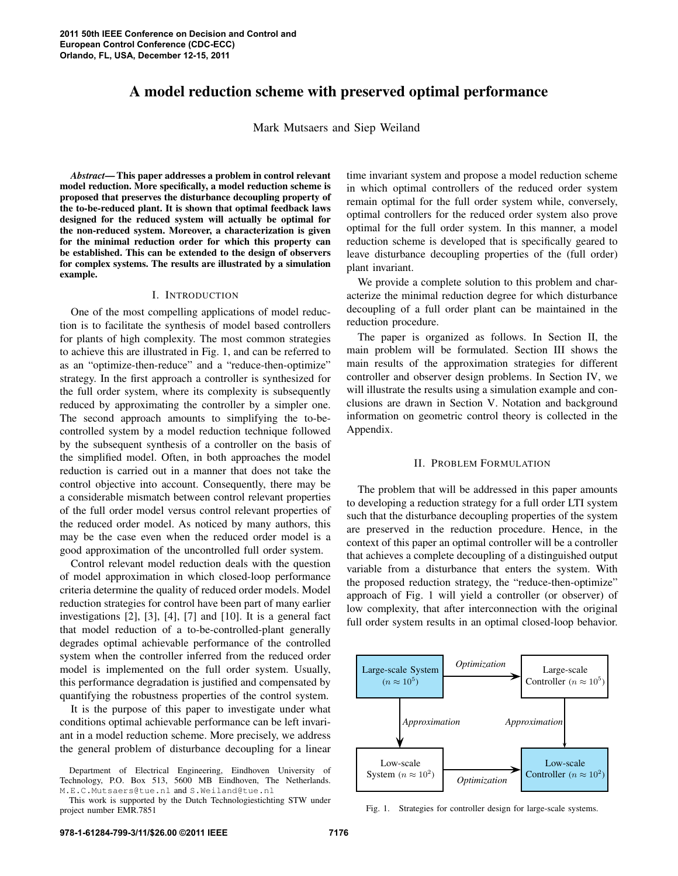# **A model reduction scheme with preserved optimal performance**

Mark Mutsaers and Siep Weiland

*Abstract***—This paper addresses a problem in control relevant model reduction. More specifically, a model reduction scheme is proposed that preserves the disturbance decoupling property of the to-be-reduced plant. It is shown that optimal feedback laws designed for the reduced system will actually be optimal for the non-reduced system. Moreover, a characterization is given for the minimal reduction order for which this property can be established. This can be extended to the design of observers for complex systems. The results are illustrated by a simulation example.**

#### I. INTRODUCTION

One of the most compelling applications of model reduction is to facilitate the synthesis of model based controllers for plants of high complexity. The most common strategies to achieve this are illustrated in Fig. 1, and can be referred to as an "optimize-then-reduce" and a "reduce-then-optimize" strategy. In the first approach a controller is synthesized for the full order system, where its complexity is subsequently reduced by approximating the controller by a simpler one. The second approach amounts to simplifying the to-becontrolled system by a model reduction technique followed by the subsequent synthesis of a controller on the basis of the simplified model. Often, in both approaches the model reduction is carried out in a manner that does not take the control objective into account. Consequently, there may be a considerable mismatch between control relevant properties of the full order model versus control relevant properties of the reduced order model. As noticed by many authors, this may be the case even when the reduced order model is a good approximation of the uncontrolled full order system.

Control relevant model reduction deals with the question of model approximation in which closed-loop performance criteria determine the quality of reduced order models. Model reduction strategies for control have been part of many earlier investigations [2], [3], [4], [7] and [10]. It is a general fact that model reduction of a to-be-controlled-plant generally degrades optimal achievable performance of the controlled system when the controller inferred from the reduced order model is implemented on the full order system. Usually, this performance degradation is justified and compensated by quantifying the robustness properties of the control system.

It is the purpose of this paper to investigate under what conditions optimal achievable performance can be left invariant in a model reduction scheme. More precisely, we address the general problem of disturbance decoupling for a linear

Department of Electrical Engineering, Eindhoven University of Technology, P.O. Box 513, 5600 MB Eindhoven, The Netherlands. M.E.C.Mutsaers@tue.nl and S.Weiland@tue.nl

time invariant system and propose a model reduction scheme in which optimal controllers of the reduced order system remain optimal for the full order system while, conversely, optimal controllers for the reduced order system also prove optimal for the full order system. In this manner, a model reduction scheme is developed that is specifically geared to leave disturbance decoupling properties of the (full order) plant invariant.

We provide a complete solution to this problem and characterize the minimal reduction degree for which disturbance decoupling of a full order plant can be maintained in the reduction procedure.

The paper is organized as follows. In Section II, the main problem will be formulated. Section III shows the main results of the approximation strategies for different controller and observer design problems. In Section IV, we will illustrate the results using a simulation example and conclusions are drawn in Section V. Notation and background information on geometric control theory is collected in the Appendix.

#### II. PROBLEM FORMULATION

The problem that will be addressed in this paper amounts to developing a reduction strategy for a full order LTI system such that the disturbance decoupling properties of the system are preserved in the reduction procedure. Hence, in the context of this paper an optimal controller will be a controller that achieves a complete decoupling of a distinguished output variable from a disturbance that enters the system. With the proposed reduction strategy, the "reduce-then-optimize" approach of Fig. 1 will yield a controller (or observer) of low complexity, that after interconnection with the original full order system results in an optimal closed-loop behavior.



Fig. 1. Strategies for controller design for large-scale systems.

This work is supported by the Dutch Technologiestichting STW under project number EMR.7851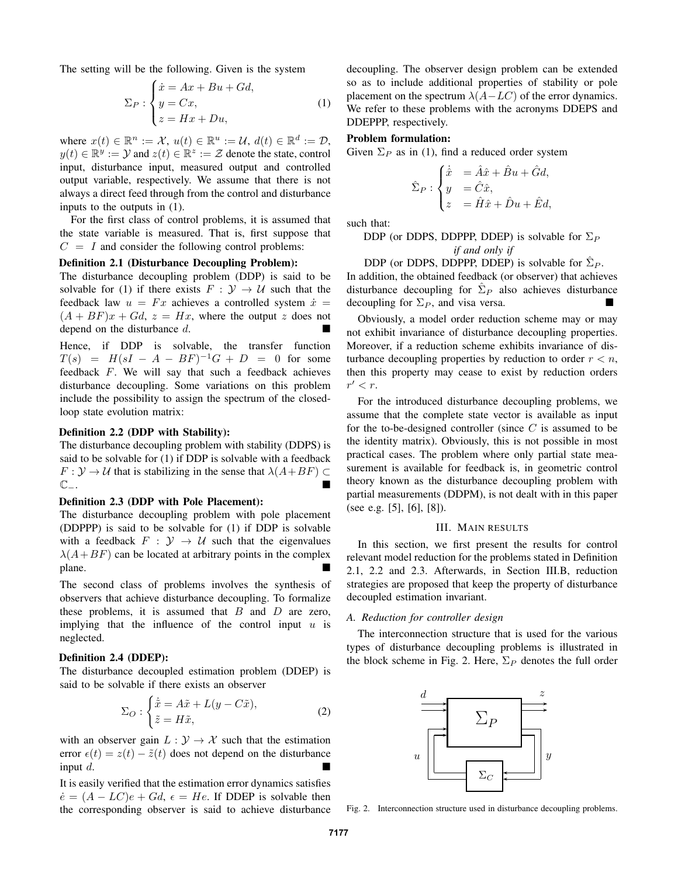The setting will be the following. Given is the system

$$
\Sigma_P: \begin{cases} \dot{x} = Ax + Bu + Gd, \\ y = Cx, \\ z = Hx + Du, \end{cases}
$$
 (1)

where  $x(t) \in \mathbb{R}^n := \mathcal{X}, u(t) \in \mathbb{R}^u := \mathcal{U}, d(t) \in \mathbb{R}^d := \mathcal{D},$  $y(t) \in \mathbb{R}^y := \mathcal{Y}$  and  $z(t) \in \mathbb{R}^z := \mathcal{Z}$  denote the state, control input, disturbance input, measured output and controlled output variable, respectively. We assume that there is not always a direct feed through from the control and disturbance inputs to the outputs in (1).

For the first class of control problems, it is assumed that the state variable is measured. That is, first suppose that  $C = I$  and consider the following control problems:

#### **Definition 2.1 (Disturbance Decoupling Problem):**

The disturbance decoupling problem (DDP) is said to be solvable for (1) if there exists  $F : \mathcal{Y} \to \mathcal{U}$  such that the feedback law  $u = Fx$  achieves a controlled system  $\dot{x} =$  $(A + BF)x + Gd$ ,  $z = Hx$ , where the output z does not depend on the disturbance d.

Hence, if DDP is solvable, the transfer function  $T(s) = H(sI - A - BF)^{-1}G + D = 0$  for some feedback F. We will say that such a feedback achieves disturbance decoupling. Some variations on this problem include the possibility to assign the spectrum of the closedloop state evolution matrix:

#### **Definition 2.2 (DDP with Stability):**

The disturbance decoupling problem with stability (DDPS) is said to be solvable for (1) if DDP is solvable with a feedback  $F: Y \to U$  that is stabilizing in the sense that  $\lambda(A+BF) \subset$ C−.

#### **Definition 2.3 (DDP with Pole Placement):**

The disturbance decoupling problem with pole placement (DDPPP) is said to be solvable for (1) if DDP is solvable with a feedback  $F : \mathcal{Y} \to \mathcal{U}$  such that the eigenvalues  $\lambda(A+BF)$  can be located at arbitrary points in the complex plane.

The second class of problems involves the synthesis of observers that achieve disturbance decoupling. To formalize these problems, it is assumed that  $B$  and  $D$  are zero, implying that the influence of the control input  $u$  is neglected.

#### **Definition 2.4 (DDEP):**

The disturbance decoupled estimation problem (DDEP) is said to be solvable if there exists an observer

$$
\Sigma_O: \begin{cases} \dot{\tilde{x}} = A\tilde{x} + L(y - C\tilde{x}), \\ \tilde{z} = H\tilde{x}, \end{cases}
$$
 (2)

with an observer gain  $L : \mathcal{Y} \to \mathcal{X}$  such that the estimation error  $\epsilon(t) = z(t) - \tilde{z}(t)$  does not depend on the disturbance input  $d$ .

It is easily verified that the estimation error dynamics satisfies  $\dot{e} = (A - LC)e + Gd$ ,  $\epsilon = He$ . If DDEP is solvable then the corresponding observer is said to achieve disturbance decoupling. The observer design problem can be extended so as to include additional properties of stability or pole placement on the spectrum  $\lambda(A-LC)$  of the error dynamics. We refer to these problems with the acronyms DDEPS and DDEPPP, respectively.

#### **Problem formulation:**

decoupling for  $\Sigma_P$ , and visa versa.

Given  $\Sigma_P$  as in (1), find a reduced order system

$$
\hat{\Sigma}_P : \begin{cases} \dot{\hat{x}} &= \hat{A}\hat{x} + \hat{B}u + \hat{G}d, \\ y &= \hat{C}\hat{x}, \\ z &= \hat{H}\hat{x} + \hat{D}u + \hat{E}d, \end{cases}
$$

such that:

**DDP** (or DDPS, DDPPP, DDEP) is solvable for 
$$
\Sigma_P
$$
 if and only if

DDP (or DDPS, DDPPP, DDEP) is solvable for  $\hat{\Sigma}_P$ . In addition, the obtained feedback (or observer) that achieves disturbance decoupling for  $\hat{\Sigma}_P$  also achieves disturbance

Obviously, a model order reduction scheme may or may not exhibit invariance of disturbance decoupling properties. Moreover, if a reduction scheme exhibits invariance of disturbance decoupling properties by reduction to order  $r < n$ , then this property may cease to exist by reduction orders  $r' < r$ .

For the introduced disturbance decoupling problems, we assume that the complete state vector is available as input for the to-be-designed controller (since  $C$  is assumed to be the identity matrix). Obviously, this is not possible in most practical cases. The problem where only partial state measurement is available for feedback is, in geometric control theory known as the disturbance decoupling problem with partial measurements (DDPM), is not dealt with in this paper (see e.g. [5], [6], [8]).

#### III. MAIN RESULTS

In this section, we first present the results for control relevant model reduction for the problems stated in Definition 2.1, 2.2 and 2.3. Afterwards, in Section III.B, reduction strategies are proposed that keep the property of disturbance decoupled estimation invariant.

#### *A. Reduction for controller design*

The interconnection structure that is used for the various types of disturbance decoupling problems is illustrated in the block scheme in Fig. 2. Here,  $\Sigma_P$  denotes the full order



Fig. 2. Interconnection structure used in disturbance decoupling problems.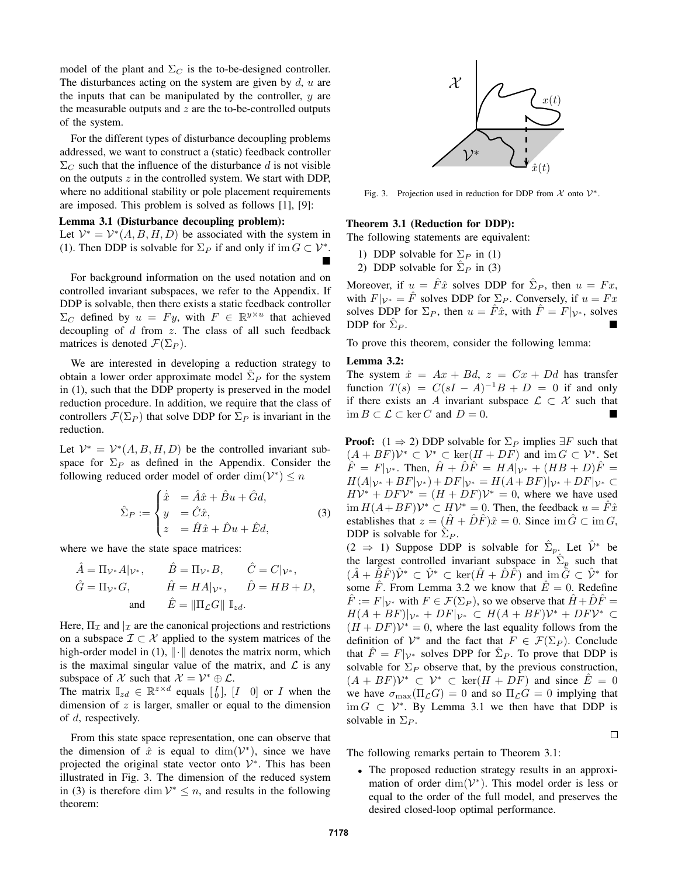model of the plant and  $\Sigma_C$  is the to-be-designed controller. The disturbances acting on the system are given by  $d$ ,  $u$  are the inputs that can be manipulated by the controller,  $y$  are the measurable outputs and  $z$  are the to-be-controlled outputs of the system.

For the different types of disturbance decoupling problems addressed, we want to construct a (static) feedback controller  $\Sigma_C$  such that the influence of the disturbance d is not visible on the outputs  $z$  in the controlled system. We start with DDP, where no additional stability or pole placement requirements are imposed. This problem is solved as follows [1], [9]:

#### **Lemma 3.1 (Disturbance decoupling problem):**

Let  $\mathcal{V}^* = \mathcal{V}^*(A, B, H, D)$  be associated with the system in (1). Then DDP is solvable for  $\Sigma_P$  if and only if im  $G \subset \mathcal{V}^*$ .  $\blacksquare$ 

For background information on the used notation and on controlled invariant subspaces, we refer to the Appendix. If DDP is solvable, then there exists a static feedback controller  $\Sigma_C$  defined by  $u = Fy$ , with  $F \in \mathbb{R}^{y \times u}$  that achieved decoupling of  $d$  from  $z$ . The class of all such feedback matrices is denoted  $\mathcal{F}(\Sigma_P)$ .

We are interested in developing a reduction strategy to obtain a lower order approximate model  $\hat{\Sigma}_P$  for the system in (1), such that the DDP property is preserved in the model reduction procedure. In addition, we require that the class of controllers  $\mathcal{F}(\Sigma_P)$  that solve DDP for  $\Sigma_P$  is invariant in the reduction.

Let  $\mathcal{V}^* = \mathcal{V}^*(A, B, H, D)$  be the controlled invariant subspace for  $\Sigma_P$  as defined in the Appendix. Consider the following reduced order model of order  $\dim(\mathcal{V}^*) \leq n$ 

$$
\hat{\Sigma}_P := \begin{cases}\n\dot{\hat{x}} &= \hat{A}\hat{x} + \hat{B}u + \hat{G}d, \\
y &= \hat{C}\hat{x}, \\
z &= \hat{H}\hat{x} + \hat{D}u + \hat{E}d,\n\end{cases}
$$
\n(3)

where we have the state space matrices:

$$
\hat{A} = \Pi_{\mathcal{V}^*} A|_{\mathcal{V}^*}, \qquad \hat{B} = \Pi_{\mathcal{V}^*} B, \qquad \hat{C} = C|_{\mathcal{V}^*}, \n\hat{G} = \Pi_{\mathcal{V}^*} G, \qquad \hat{H} = H A|_{\mathcal{V}^*}, \qquad \hat{D} = H B + D, \n\text{and} \qquad \hat{E} = \|\Pi_{\mathcal{L}} G\| \mathbb{I}_{zd}.
$$

Here,  $\Pi_{\mathcal{I}}$  and  $|_{\mathcal{I}}$  are the canonical projections and restrictions on a subspace  $\mathcal{I} \subset \mathcal{X}$  applied to the system matrices of the high-order model in (1),  $\|\cdot\|$  denotes the matrix norm, which is the maximal singular value of the matrix, and  $\mathcal L$  is any subspace of X such that  $\mathcal{X} = \mathcal{V}^* \oplus \mathcal{L}$ .

The matrix  $\mathbb{I}_{zd} \in \mathbb{R}^{z \times d}$  equals  $\begin{bmatrix} I \\ 0 \end{bmatrix}$ ,  $\begin{bmatrix} I & 0 \end{bmatrix}$  or I when the dimension of  $z$  is larger, smaller or equal to the dimension of d, respectively.

From this state space representation, one can observe that the dimension of  $\hat{x}$  is equal to  $\dim(\mathcal{V}^*)$ , since we have projected the original state vector onto  $\mathcal{V}^*$ . This has been illustrated in Fig. 3. The dimension of the reduced system in (3) is therefore dim  $V^* \leq n$ , and results in the following theorem:



Fig. 3. Projection used in reduction for DDP from  $\mathcal{X}$  onto  $\mathcal{V}^*$ .

#### **Theorem 3.1 (Reduction for DDP):**

The following statements are equivalent:

- 1) DDP solvable for  $\Sigma_P$  in (1)
- 2) DDP solvable for  $\hat{\Sigma}_P$  in (3)

Moreover, if  $u = \hat{F}\hat{x}$  solves DDP for  $\hat{\Sigma}_P$ , then  $u = Fx$ , with  $F|_{\mathcal{V}^*} = \hat{F}$  solves DDP for  $\Sigma_P$ . Conversely, if  $u = Fx$ solves DDP for  $\Sigma_P$ , then  $u = \hat{F}\hat{x}$ , with  $\hat{F} = F|_{\mathcal{V}^*}$ , solves DDP for  $\Sigma_P$ .  $P$  .

To prove this theorem, consider the following lemma:

#### **Lemma 3.2:**

The system  $\dot{x} = Ax + Bd$ ,  $z = Cx + Dd$  has transfer function  $T(s) = C(sI - A)^{-1}B + D = 0$  if and only if there exists an A invariant subspace  $\mathcal{L} \subset \mathcal{X}$  such that  $\text{im } B \subset \mathcal{L} \subset \text{ker } C$  and  $D = 0$ .

**Proof:**  $(1 \Rightarrow 2)$  DDP solvable for  $\Sigma_P$  implies  $\exists F$  such that  $(A + BF)\mathcal{V}^* \subset \mathcal{V}^* \subset \text{ker}(H + DF)$  and  $\text{im } G \subset \mathcal{V}^*$ . Set  $\hat{F} = F|_{\mathcal{V}^*}$ . Then,  $\hat{H} + \hat{D}\hat{F} = HA|_{\mathcal{V}^*} + (HB + D)\hat{F} =$  $H(A|_{\mathcal{V}^*}+BF|_{\mathcal{V}^*})+DF|_{\mathcal{V}^*}=H(A+BF)|_{\mathcal{V}^*}+DF|_{\mathcal{V}^*}\subset$  $H\mathcal{V}^* + DF\mathcal{V}^* = (H + DF)\mathcal{V}^* = 0$ , where we have used  $\lim H(A+BF)V^* \subset HV^* = 0$ . Then, the feedback  $u = \hat{F}\hat{x}$ establishes that  $z = (\hat{H} + \hat{D}\hat{F})\hat{x} = 0$ . Since  $\text{im }\hat{G} \subset \text{im } G$ , DDP is solvable for  $\sum_{P}$ .

 $(2 \Rightarrow 1)$  Suppose DDP is solvable for  $\hat{\Sigma}_p$ . Let  $\hat{\mathcal{V}}^*$  be the largest controlled invariant subspace in  $\hat{\Sigma}_p$  such that  $(\hat{A} + \hat{B}\hat{F})\hat{\mathcal{V}}^* \subset \hat{\mathcal{V}}^* \subset \text{ker}(\hat{H} + \hat{D}\hat{F})$  and  $\text{im}\,\hat{G} \subset \hat{\mathcal{V}}^*$  for some  $\hat{F}$ . From Lemma 3.2 we know that  $\hat{E} = 0$ . Redefine  $\hat{F} := F|_{\mathcal{V}^*}$  with  $F \in \mathcal{F}(\Sigma_P)$ , so we observe that  $\hat{H} + \hat{D}\hat{F} =$  $H(A + BF)|_{\mathcal{V}^*} + DF|_{\mathcal{V}^*} \subset H(A + BF)\mathcal{V}^* + DF\mathcal{V}^* \subset$  $(H + DF)V^* = 0$ , where the last equality follows from the definition of  $\mathcal{V}^*$  and the fact that  $\tilde{F} \in \mathcal{F}(\Sigma_P)$ . Conclude that  $\hat{F} = F|_{\mathcal{V}^*}$  solves DPP for  $\hat{\Sigma}_P$ . To prove that DDP is solvable for  $\Sigma_P$  observe that, by the previous construction,  $(A + BF)\mathcal{V}^* \subset \mathcal{V}^* \subset \text{ker}(H + DF)$  and since  $\hat{E} = 0$ we have  $\sigma_{\text{max}}(\Pi_{\mathcal{L}}G) = 0$  and so  $\Pi_{\mathcal{L}}G = 0$  implying that  $\lim G \subset V^*$ . By Lemma 3.1 we then have that DDP is solvable in  $\Sigma_P$ .

 $\Box$ 

The following remarks pertain to Theorem 3.1:

• The proposed reduction strategy results in an approximation of order  $\dim(\mathcal{V}^*)$ . This model order is less or equal to the order of the full model, and preserves the desired closed-loop optimal performance.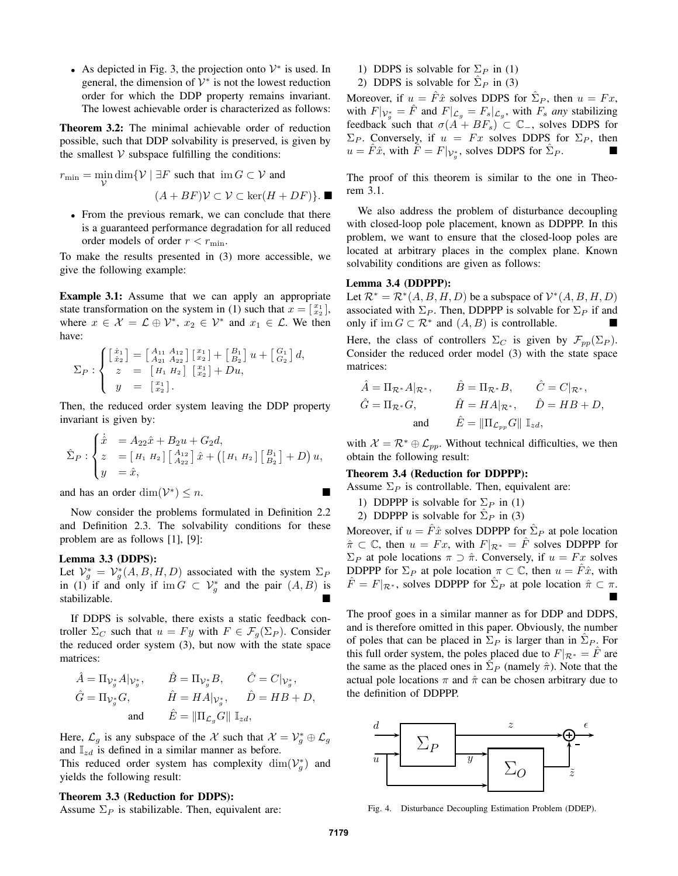• As depicted in Fig. 3, the projection onto  $V^*$  is used. In general, the dimension of  $\mathcal{V}^*$  is not the lowest reduction order for which the DDP property remains invariant. The lowest achievable order is characterized as follows:

**Theorem 3.2:** The minimal achievable order of reduction possible, such that DDP solvability is preserved, is given by the smallest  $V$  subspace fulfilling the conditions:

 $r_{\min} = \min_{\mathcal{V}} \dim \{ \mathcal{V} \mid \exists F \text{ such that } \text{im } G \subset \mathcal{V} \text{ and }$ 

 $(A + BF)\mathcal{V} \subset \mathcal{V} \subset \text{ker}(H + DF)$ .

• From the previous remark, we can conclude that there is a guaranteed performance degradation for all reduced order models of order  $r < r_{\min}$ .

To make the results presented in (3) more accessible, we give the following example:

**Example 3.1:** Assume that we can apply an appropriate state transformation on the system in (1) such that  $x = \begin{bmatrix} x_1 \\ x_2 \end{bmatrix}$ , where  $x \in \mathcal{X} = \mathcal{L} \oplus \mathcal{V}^*$ ,  $x_2 \in \mathcal{V}^*$  and  $x_1 \in \mathcal{L}$ . We then have:

$$
\Sigma_P : \begin{cases} \begin{bmatrix} \dot{x}_1 \\ \dot{x}_2 \end{bmatrix} = \begin{bmatrix} A_{11} & A_{12} \\ A_{21} & A_{22} \end{bmatrix} \begin{bmatrix} x_1 \\ x_2 \end{bmatrix} + \begin{bmatrix} B_1 \\ B_2 \end{bmatrix} u + \begin{bmatrix} G_1 \\ G_2 \end{bmatrix} d, \\ z = \begin{bmatrix} H_1 & H_2 \end{bmatrix} \begin{bmatrix} x_1 \\ x_2 \end{bmatrix} + Du, \\ y = \begin{bmatrix} x_1 \\ x_2 \end{bmatrix} .\end{cases}
$$

Then, the reduced order system leaving the DDP property invariant is given by:

$$
\hat{\Sigma}_P : \begin{cases} \dot{\hat{x}} = A_{22}\hat{x} + B_{2}u + G_{2}d, \\ z = [H_1 H_2] \begin{bmatrix} A_{12} \\ A_{22} \end{bmatrix} \hat{x} + ([H_1 H_2] \begin{bmatrix} B_1 \\ B_2 \end{bmatrix} + D) u, \\ y = \hat{x}, \end{cases}
$$

and has an order  $\dim(\mathcal{V}^*) \leq n$ .

Now consider the problems formulated in Definition 2.2 and Definition 2.3. The solvability conditions for these problem are as follows [1], [9]:

#### **Lemma 3.3 (DDPS):**

Let  $\mathcal{V}_g^* = \mathcal{V}_g^*(A, B, H, D)$  associated with the system  $\Sigma_P$ in (1) if and only if im  $G \subset V_g^*$  and the pair  $(A, B)$  is stabilizable.

If DDPS is solvable, there exists a static feedback controller  $\Sigma_C$  such that  $u = Fy$  with  $F \in \mathcal{F}_q(\Sigma_P)$ . Consider the reduced order system (3), but now with the state space matrices:

$$
\begin{aligned} \hat{A} &= \Pi_{\mathcal{V}_{g}^{*}}A|_{\mathcal{V}_{g}^{*}}, & \hat{B} &= \Pi_{\mathcal{V}_{g}^{*}}B, & \hat{C} &= C|_{\mathcal{V}_{g}^{*}},\\ \hat{G} &= \Pi_{\mathcal{V}_{g}^{*}}G, & \hat{H} &= HA|_{\mathcal{V}_{g}^{*}}, & \hat{D} &= HB + D,\\ & \text{and} & \hat{E} &= \|\Pi_{\mathcal{L}_{g}}G\|~\mathbb{I}_{zd}, \end{aligned}
$$

Here,  $\mathcal{L}_g$  is any subspace of the X such that  $\mathcal{X} = \mathcal{V}_g^* \oplus \mathcal{L}_g$ and  $\mathbb{I}_{zd}$  is defined in a similar manner as before. This reduced order system has complexity  $\dim(\mathcal{V}_g^*)$  and yields the following result:

#### **Theorem 3.3 (Reduction for DDPS):**

Assume  $\Sigma_P$  is stabilizable. Then, equivalent are:

- 1) DDPS is solvable for  $\Sigma_P$  in (1)
- 2) DDPS is solvable for  $\hat{\Sigma}_P$  in (3)

Moreover, if  $u = \hat{F}\hat{x}$  solves DDPS for  $\hat{\Sigma}_P$ , then  $u = Fx$ , with  $F|_{\mathcal{V}_g^*} = \hat{F}$  and  $F|_{\mathcal{L}_g} = F_s|_{\mathcal{L}_g}$ , with  $F_s$  any stabilizing feedback such that  $\sigma(A + BF_s) \subset \mathbb{C}_-$ , solves DDPS for  $\Sigma_P$ . Conversely, if  $u = Fx$  solves DDPS for  $\Sigma_P$ , then  $u = \hat{F}\hat{x}$ , with  $\hat{F} = F|_{\mathcal{V}_g^*}$ , solves DDPS for  $\hat{\Sigma}_P$ .

The proof of this theorem is similar to the one in Theorem 3.1.

We also address the problem of disturbance decoupling with closed-loop pole placement, known as DDPPP. In this problem, we want to ensure that the closed-loop poles are located at arbitrary places in the complex plane. Known solvability conditions are given as follows:

#### **Lemma 3.4 (DDPPP):**

Let  $\mathcal{R}^* = \mathcal{R}^*(A, B, H, D)$  be a subspace of  $\mathcal{V}^*(A, B, H, D)$ associated with  $\Sigma_P$ . Then, DDPPP is solvable for  $\Sigma_P$  if and only if  $\text{im } G \subset \mathbb{R}^*$  and  $(A, B)$  is controllable.

Here, the class of controllers  $\Sigma_C$  is given by  $\mathcal{F}_{pp}(\Sigma_P)$ . Consider the reduced order model (3) with the state space matrices:

$$
\hat{A} = \Pi_{\mathcal{R}^*} A|_{\mathcal{R}^*}, \qquad \hat{B} = \Pi_{\mathcal{R}^*} B, \qquad \hat{C} = C|_{\mathcal{R}^*}, \n\hat{G} = \Pi_{\mathcal{R}^*} G, \qquad \hat{H} = H A|_{\mathcal{R}^*}, \qquad \hat{D} = H B + D, \n\text{and} \qquad \hat{E} = \|\Pi_{\mathcal{L}_{pp}} G\| \mathbb{I}_{zd},
$$

with  $\mathcal{X} = \mathcal{R}^* \oplus \mathcal{L}_{pp}$ . Without technical difficulties, we then obtain the following result:

#### **Theorem 3.4 (Reduction for DDPPP):**

Assume  $\Sigma_P$  is controllable. Then, equivalent are:

- 1) DDPPP is solvable for  $\Sigma_P$  in (1)
- 2) DDPPP is solvable for  $\hat{\Sigma}_P$  in (3)

Moreover, if  $u = \hat{F}\hat{x}$  solves DDPPP for  $\hat{\Sigma}_P$  at pole location  $\hat{\pi} \subset \mathbb{C}$ , then  $u = Fx$ , with  $F|_{\mathcal{R}^*} = \hat{F}$  solves DDPPP for  $\Sigma_P$  at pole locations  $\pi \supset \hat{\pi}$ . Conversely, if  $u = Fx$  solves DDPPP for  $\Sigma_P$  at pole location  $\pi \subset \mathbb{C}$ , then  $u = \hat{F}\hat{x}$ , with  $\hat{F} = F|_{\mathcal{R}^*}$ , solves DDPPP for  $\hat{\Sigma}_P$  at pole location  $\hat{\pi} \subset \pi$ .  $\blacksquare$ 

The proof goes in a similar manner as for DDP and DDPS, and is therefore omitted in this paper. Obviously, the number of poles that can be placed in  $\Sigma_P$  is larger than in  $\hat{\Sigma}_P$ . For this full order system, the poles placed due to  $F|_{\mathcal{R}^*} = \hat{F}$  are the same as the placed ones in  $\hat{\Sigma}_P$  (namely  $\hat{\pi}$ ). Note that the actual pole locations  $\pi$  and  $\hat{\pi}$  can be chosen arbitrary due to the definition of DDPPP.



Fig. 4. Disturbance Decoupling Estimation Problem (DDEP).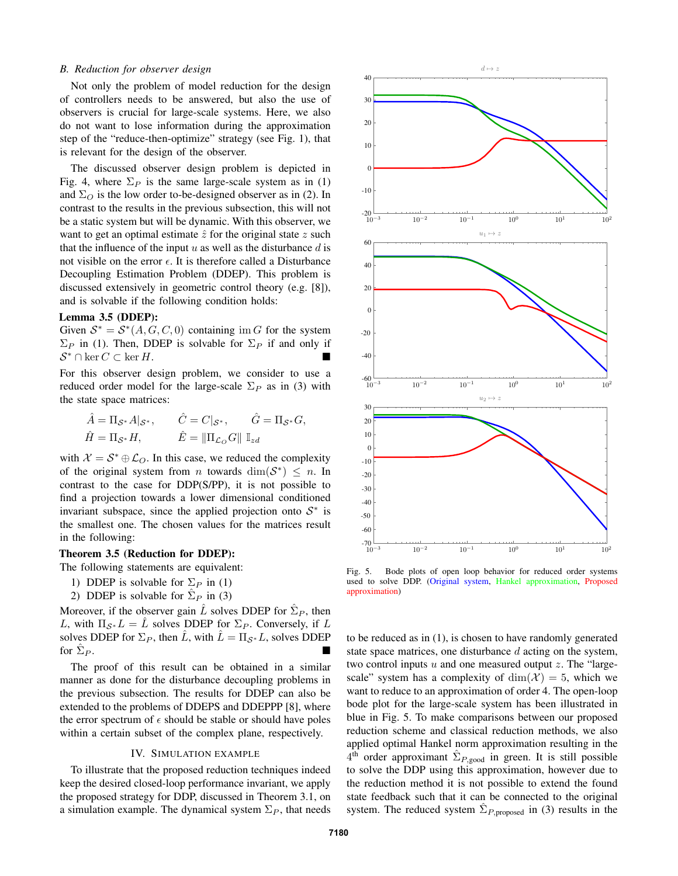#### *B. Reduction for observer design*

Not only the problem of model reduction for the design of controllers needs to be answered, but also the use of observers is crucial for large-scale systems. Here, we also do not want to lose information during the approximation step of the "reduce-then-optimize" strategy (see Fig. 1), that is relevant for the design of the observer.

The discussed observer design problem is depicted in Fig. 4, where  $\Sigma_P$  is the same large-scale system as in (1) and  $\Sigma_O$  is the low order to-be-designed observer as in (2). In contrast to the results in the previous subsection, this will not be a static system but will be dynamic. With this observer, we want to get an optimal estimate  $\hat{z}$  for the original state  $z$  such that the influence of the input  $u$  as well as the disturbance  $d$  is not visible on the error  $\epsilon$ . It is therefore called a Disturbance Decoupling Estimation Problem (DDEP). This problem is discussed extensively in geometric control theory (e.g. [8]), and is solvable if the following condition holds:

#### **Lemma 3.5 (DDEP):**

Given  $S^* = S^*(A, G, C, 0)$  containing im G for the system  $\Sigma_P$  in (1). Then, DDEP is solvable for  $\Sigma_P$  if and only if  $S^* \cap \ker C \subset \ker H$ .

For this observer design problem, we consider to use a reduced order model for the large-scale  $\Sigma_P$  as in (3) with the state space matrices:

$$
\begin{aligned}\n\hat{A} &= \Pi_{\mathcal{S}^*} A |_{\mathcal{S}^*}, & \hat{C} &= C |_{\mathcal{S}^*}, & \hat{G} &= \Pi_{\mathcal{S}^*} G, \\
\hat{H} &= \Pi_{\mathcal{S}^*} H, & \hat{E} &= \|\Pi_{\mathcal{L}_O} G\| \,\, \mathbb{I}_{zd}\n\end{aligned}
$$

with  $\mathcal{X} = \mathcal{S}^* \oplus \mathcal{L}_O$ . In this case, we reduced the complexity of the original system from *n* towards  $\dim(S^*) \leq n$ . In contrast to the case for DDP(S/PP), it is not possible to find a projection towards a lower dimensional conditioned invariant subspace, since the applied projection onto  $S^*$  is the smallest one. The chosen values for the matrices result in the following:

#### **Theorem 3.5 (Reduction for DDEP):**

The following statements are equivalent:

- 1) DDEP is solvable for  $\Sigma_P$  in (1)
- 2) DDEP is solvable for  $\hat{\Sigma}_P$  in (3)

Moreover, if the observer gain  $\hat{L}$  solves DDEP for  $\hat{\Sigma}_P$ , then L, with  $\Pi_{\mathcal{S}^*}L = L$  solves DDEP for  $\Sigma_P$ . Conversely, if L solves DDEP for  $\Sigma_P$ , then  $\hat{L}$ , with  $\hat{L} = \Pi_{\mathcal{S}^*} L$ , solves DDEP for  $\Sigma_P$ .  $P$ .

The proof of this result can be obtained in a similar manner as done for the disturbance decoupling problems in the previous subsection. The results for DDEP can also be extended to the problems of DDEPS and DDEPPP [8], where the error spectrum of  $\epsilon$  should be stable or should have poles within a certain subset of the complex plane, respectively.

#### IV. SIMULATION EXAMPLE

To illustrate that the proposed reduction techniques indeed keep the desired closed-loop performance invariant, we apply the proposed strategy for DDP, discussed in Theorem 3.1, on a simulation example. The dynamical system  $\Sigma_P$ , that needs



Fig. 5. Bode plots of open loop behavior for reduced order systems used to solve DDP. (Original system, Hankel approximation, Proposed approximation)

to be reduced as in (1), is chosen to have randomly generated state space matrices, one disturbance d acting on the system, two control inputs  $u$  and one measured output  $z$ . The "largescale" system has a complexity of  $\dim(\mathcal{X}) = 5$ , which we want to reduce to an approximation of order 4. The open-loop bode plot for the large-scale system has been illustrated in blue in Fig. 5. To make comparisons between our proposed reduction scheme and classical reduction methods, we also applied optimal Hankel norm approximation resulting in the  $4^{\text{th}}$  order approximant  $\hat{\Sigma}_{P,\text{good}}$  in green. It is still possible to solve the DDP using this approximation, however due to the reduction method it is not possible to extend the found state feedback such that it can be connected to the original system. The reduced system  $\hat{\Sigma}_{P, proposed}$  in (3) results in the